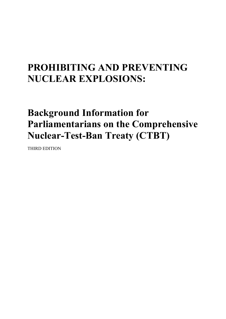# **PROHIBITING AND PREVENTING NUCLEAR EXPLOSIONS:**

# **Background Information for Parliamentarians on the Comprehensive Nuclear-Test-Ban Treaty (CTBT)**

THIRD EDITION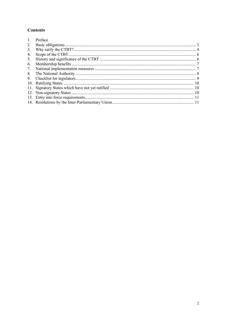## **Contents**

| $\mathbf{1}$ . | Preface |  |
|----------------|---------|--|
| 2.             |         |  |
| 3.             |         |  |
| 4.             |         |  |
| 5.             |         |  |
| 6.             |         |  |
| 7.             |         |  |
| 8.             |         |  |
| 9.             |         |  |
|                |         |  |
|                |         |  |
|                |         |  |
|                |         |  |
|                |         |  |
|                |         |  |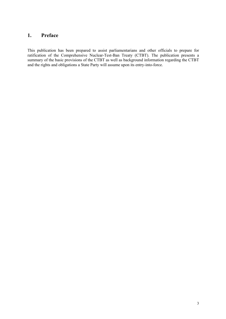## **1. Preface**

This publication has been prepared to assist parliamentarians and other officials to prepare for ratification of the Comprehensive Nuclear-Test-Ban Treaty (CTBT). The publication presents a summary of the basic provisions of the CTBT as well as background information regarding the CTBT and the rights and obligations a State Party will assume upon its entry-into-force.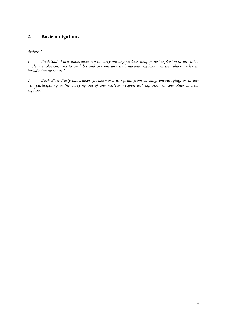## **2. Basic obligations**

#### *Article 1*

*1. Each State Party undertakes not to carry out any nuclear weapon test explosion or any other nuclear explosion, and to prohibit and prevent any such nuclear explosion at any place under its jurisdiction or control.*

*2. Each State Party undertakes, furthermore, to refrain from causing, encouraging, or in any*  way participating in the carrying out of any nuclear weapon test explosion or any other nuclear *explosion.*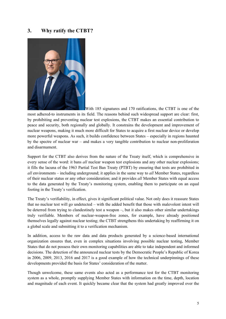### **3. Why ratify the CTBT?**



With 185 signatures and 170 ratifications, the CTBT is one of the

most adhered-to instruments in its field. The reasons behind such widespread support are clear: first, by prohibiting and preventing nuclear test explosions, the CTBT makes an essential contribution to peace and security, both regionally and globally. It constrains the development and improvement of nuclear weapons, making it much more difficult for States to acquire a first nuclear device or develop more powerful weapons. As such, it builds confidence between States – especially in regions haunted by the spectre of nuclear war – and makes a very tangible contribution to nuclear non-proliferation and disarmament.

Support for the CTBT also derives from the nature of the Treaty itself, which is comprehensive in every sense of the word: it bans *all* nuclear weapon test explosions and any other nuclear explosions; it fills the lacuna of the 1963 Partial Test Ban Treaty (PTBT) by ensuring that tests are prohibited in *all* environments – including underground; it applies in the same way to *all* Member States, regardless of their nuclear status or any other consideration; and it provides *all* Member States with equal access to the data generated by the Treaty's monitoring system, enabling them to participate on an equal footing in the Treaty's verification.

The Treaty's verifiability, in effect, gives it significant political value. Not only does it reassure States that no nuclear test will go undetected – with the added benefit that those with malevolent intent will be deterred from trying to clandestinely test a weapon –, but it also makes other similar undertakings truly verifiable. Members of nuclear-weapon-free zones, for example, have already positioned themselves legally against nuclear testing; the CTBT strengthens this undertaking by reaffirming it on a global scale and submitting it to a verification mechanism.

In addition, access to the raw data and data products generated by a science-based international organization ensures that, even in complex situations involving possible nuclear testing, Member States that do not possess their own monitoring capabilities are able to take independent and informed decisions. The detection of the announced nuclear tests by the Democratic People's Republic of Korea in 2006, 2009, 2013, 2016 and 2017 is a good example of how the technical underpinnings of these developments provided the basis for States' consideration of the matter.

Though unwelcome, these same events also acted as a performance test for the CTBT monitoring system as a whole, promptly supplying Member States with information on the time, depth, location and magnitude of each event. It quickly became clear that the system had greatly improved over the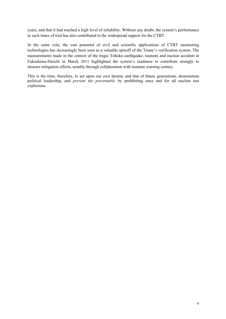years, and that it had reached a high level of reliability. Without any doubt, the system's performance in such times of trial has also contributed to the widespread support for the CTBT.

In the same vein, the vast potential of civil and scientific applications of CTBT monitoring technologies has increasingly been seen as a valuable spinoff of the Treaty's verification system. The measurements made in the context of the tragic Tohoku earthquake, tsunami and nuclear accident at Fukushima-Daiichi in March 2011 highlighted the system's readiness to contribute strongly to disaster mitigation efforts, notably through collaboration with tsunami warning centres.

This is the time, therefore, to act upon our own destiny and that of future generations, demonstrate political leadership, and *prevent the preventable* by prohibiting once and for all nuclear test explosions.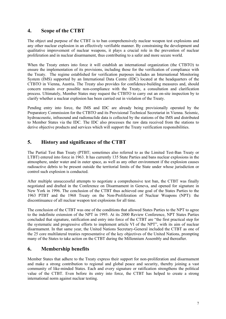## **4. Scope of the CTBT**

The object and purpose of the CTBT is to ban comprehensively nuclear weapon test explosions and any other nuclear explosion in an effectively verifiable manner. By constraining the development and qualitative improvement of nuclear weapons, it plays a crucial role in the prevention of nuclear proliferation and in nuclear disarmament, thus contributing to a safer and more secure world.

When the Treaty enters into force it will establish an international organization (the CTBTO) to ensure the implementation of its provisions, including those for the verification of compliance with the Treaty. The regime established for verification purposes includes an International Monitoring System (IMS) supported by an International Data Centre (IDC) located at the headquarters of the CTBTO in Vienna, Austria. The Treaty also provides for confidence-building measures and, should concern remain over possible non-compliance with the Treaty, a consultation and clarification process. Ultimately, Member States may request the CTBTO to carry out an on-site inspection by to clarify whether a nuclear explosion has been carried out in violation of the Treaty.

Pending entry into force, the IMS and IDC are already being provisionally operated by the Preparatory Commission for the CTBTO and its Provisional Technical Secretariat in Vienna. Seismic, hydroacoustic, infrasound and radionuclide data is collected by the stations of the IMS and distributed to Member States via the IDC. The IDC also processes the raw data received from the stations to derive objective products and services which will support the Treaty verification responsibilities.

## **5. History and significance of the CTBT**

The Partial Test Ban Treaty (PTBT; sometimes also referred to as the Limited Test-Ban Treaty or LTBT) entered into force in 1963. It has currently 135 State Parties and bans nuclear explosions in the atmosphere, under water and in outer space, as well as any other environment if the explosion causes radioactive debris to be present outside the territorial limits of the State under whose jurisdiction or control such explosion is conducted.

After multiple unsuccessful attempts to negotiate a comprehensive test ban, the CTBT was finally negotiated and drafted in the Conference on Disarmament in Geneva, and opened for signature in New York in 1996. The conclusion of the CTBT thus achieved one goal of the States Parties to the 1963 PTBT and the 1968 Treaty on the Non-Proliferation of Nuclear Weapons (NPT): the discontinuance of all nuclear weapon test explosions for all time.

The conclusion of the CTBT was one of the conditions that allowed States Parties to the NPT to agree to the indefinite extension of the NPT in 1995. At its 2000 Review Conference, NPT States Parties concluded that signature, ratification and entry into force of the CTBT are "the first practical step for the systematic and progressive efforts to implement article VI of the NPT", with its aim of nuclear disarmament. In that same year, the United Nations Secretary-General included the CTBT as one of the 25 core multilateral treaties representative of the key objectives of the United Nations, prompting many of the States to take action on the CTBT during the Millennium Assembly and thereafter.

## **6. Membership benefits**

Member States that adhere to the Treaty express their support for non-proliferation and disarmament and make a strong contribution to regional and global peace and security, thereby joining a vast community of like-minded States. Each and every signature or ratification strengthens the political value of the CTBT. Even before its entry into force, the CTBT has helped to create a strong international norm against nuclear testing.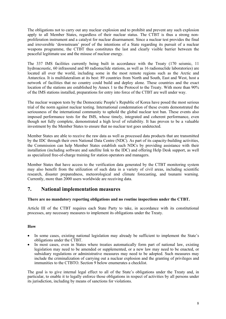The obligations not to carry out any nuclear explosion and to prohibit and prevent any such explosion apply to all Member States, regardless of their nuclear status. The CTBT is thus a strong nonproliferation instrument and a catalyst for nuclear disarmament. Since a nuclear test provides the final and irreversible 'downstream' proof of the intentions of a State regarding its pursuit of a nuclear weapons programme, the CTBT thus constitutes the last and clearly visible barrier between the peaceful legitimate use and the misuse of nuclear energy.

The 337 IMS facilities currently being built in accordance with the Treaty (170 seismic, 11 hydroacoustic, 60 infrasound and 80 radionuclide stations, as well as 16 radionuclide laboratories) are located all over the world, including some in the most remote regions such as the Arctic and Antarctica. It is multilateralism at its best: 89 countries from North and South, East and West, host a network of facilities that no country could build and deploy alone. These countries and the exact location of the stations are established by Annex 1 to the Protocol to the Treaty. With more than 90% of the IMS stations installed, preparations for entry into force of the CTBT are well under way.

The nuclear weapon tests by the Democratic People's Republic of Korea have posed the most serious trial of the norm against nuclear testing. International condemnation of these events demonstrated the seriousness of the international community to uphold the global nuclear test ban. These events also imposed performance tests for the IMS, whose timely, integrated and coherent performance, even though not fully complete, demonstrated a high level of reliability. It has proven to be a valuable investment by the Member States to ensure that no nuclear test goes undetected.

Member States are able to receive the raw data as well as processed data products that are transmitted by the IDC through their own National Data Centre (NDC). As part of its capacity-building activities, the Commission can help Member States establish such NDCs by providing assistance with their installation (including software and satellite link to the IDC) and offering Help Desk support, as well as specialized free-of-charge training for station operators and managers.

Member States that have access to the verification data generated by the CTBT monitoring system may also benefit from the utilization of such data in a variety of civil areas, including scientific research, disaster preparedness, meteorological and climate forecasting, and tsunami warning. Currently, more than 2000 users worldwide are receiving data.

## **7. National implementation measures**

#### **There are no mandatory reporting obligations and no routine inspections under the CTBT.**

Article III of the CTBT requires each State Party to take, in accordance with its constitutional processes, any necessary measures to implement its obligations under the Treaty.

#### **How**

- In some cases, existing national legislation may already be sufficient to implement the State's obligations under the CTBT.
- In most cases, even in States where treaties automatically form part of national law, existing legislation may need to be amended or supplemented, or a new law may need to be enacted, or subsidiary regulations or administrative measures may need to be adopted. Such measures may include the criminalization of carrying out a nuclear explosion and the granting of privileges and immunities to the CTBTO. Section 9 below enumerates a checklist.

The goal is to give internal legal effect to all of the State's obligations under the Treaty and, in particular, to enable it to legally enforce those obligations in respect of activities by all persons under its jurisdiction, including by means of sanctions for violations.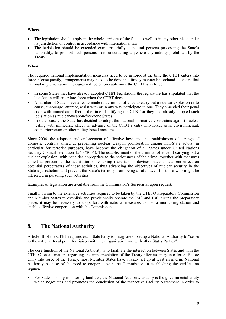#### **Where**

- The legislation should apply in the whole territory of the State as well as in any other place under its jurisdiction or control in accordance with international law.
- The legislation should be extended extraterritorially to natural persons possessing the State's nationality, to prohibit such persons from undertaking anywhere any activity prohibited by the Treaty.

#### **When**

The required national implementation measures need to be in force at the time the CTBT enters into force. Consequently, arrangements may need to be done in a timely manner beforehand to ensure that national implementation measures will be enforceable once the CTBT is in force.

- In some States that have already adopted CTBT legislation, the legislature has stipulated that the legislation will enter into force when the CTBT does.
- A number of States have already made it a criminal offence to carry out a nuclear explosion or to cause, encourage, attempt, assist with or in any way participate in one. They amended their penal code with immediate effect at the time of ratifying the CTBT or they had already adopted such legislation as nuclear-weapon-free-zone States.
- In other cases, the State has decided to adopt the national normative constraints against nuclear testing with immediate effect, in advance of the CTBT's entry into force, as an environmental, counterterrorism or other policy-based measure.

Since 2004, the adoption and enforcement of effective laws and the establishment of a range of domestic controls aimed at preventing nuclear weapon proliferation among non-State actors, in particular for terrorist purposes, have become the obligation of all States under United Nations Security Council resolution 1540 (2004). The establishment of the criminal offence of carrying out a nuclear explosion, with penalties appropriate to the seriousness of the crime, together with measures aimed at preventing the acquisition of enabling materials or devices, have a deterrent effect on potential perpetrators of these activities, thus advancing the objectives of nuclear security in the State's jurisdiction and prevent the State's territory from being a safe haven for those who might be interested in pursuing such activities.

Examples of legislation are available from the Commission's Secretariat upon request.

Finally, owing to the extensive activities required to be taken by the CTBTO Preparatory Commission and Member States to establish and provisionally operate the IMS and IDC during the preparatory phase, it may be necessary to adopt forthwith national measures to host a monitoring station and enable effective cooperation with the Commission.

## **8. The National Authority**

Article III of the CTBT requires each State Party to designate or set up a National Authority to "serve as the national focal point for liaison with the Organization and with other States Parties".

The core function of the National Authority is to facilitate the interaction between States and with the CTBTO on all matters regarding the implementation of the Treaty after its entry into force. Before entry into force of the Treaty, most Member States have already set up at least an interim National Authority because of the need to cooperate with the Commission in establishing the verification regime.

• For States hosting monitoring facilities, the National Authority usually is the governmental entity which negotiates and promotes the conclusion of the respective Facility Agreement in order to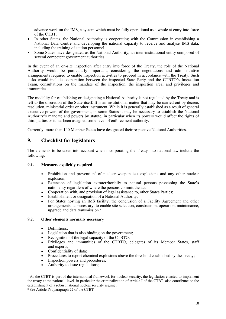advance work on the IMS, a system which must be fully operational as a whole at entry into force of the CTBT.

- In other States, the National Authority is cooperating with the Commission in establishing a National Data Centre and developing the national capacity to receive and analyse IMS data, including the training of station personnel.
- Some States have designated as the National Authority, an inter-institutional entity composed of several competent government authorities.

In the event of an on-site inspection after entry into force of the Treaty, the role of the National Authority would be particularly important, considering the negotiations and administrative arrangements required to enable inspection activities to proceed in accordance with the Treaty. Such tasks would include cooperation between the inspected State Party and the CTBTO's Inspection Team, consultations on the mandate of the inspection, the inspection area, and privileges and immunities.

The modality for establishing or designating a National Authority is not regulated by the Treaty and is left to the discretion of the State itself. It is an institutional matter that may be carried out by decree, resolution, ministerial order or other instrument. While it is generally established as a result of general executive powers of the government, in some States it may be necessary to establish the National Authority's mandate and powers by statute, in particular when its powers would affect the rights of third parties or it has been assigned some level of enforcement authority.

Currently, more than 140 Member States have designated their respective National Authorities.

## **9. Checklist for legislators**

The elements to be taken into account when incorporating the Treaty into national law include the following:

#### **9.1. Measures explicitly required**

- Prohibition and prevention<sup>1</sup> of nuclear weapon test explosions and any other nuclear explosion;
- Extension of legislation extraterritorially to natural persons possessing the State's nationality regardless of where the persons commit the act;
- Cooperation with, and provision of legal assistance to, other States Parties;
- Establishment or designation of a National Authority;
- For States hosting an IMS facility, the conclusion of a Facility Agreement and other arrangements, as necessary, to enable site selection, construction, operation, maintenance, upgrade and data transmission. 2

#### **9.2. Other elements normally necessary**

- Definitions:
- Legislation that is also binding on the government;
- Recognition of the legal capacity of the CTBTO;
- Privileges and immunities of the CTBTO, delegates of its Member States, staff and experts;
- Confidentiality of data:
- Procedures to report chemical explosions above the threshold established by the Treaty;
- Inspection powers and procedures;
- Authority to issue regulations;

<sup>&</sup>lt;sup>1</sup> As the CTBT is part of the international framework for nuclear security, the legislation enacted to implement the treaty at the national level, in particular the criminalization of Article I of the CTBT, also contributes to the establishment of a robust national nuclear security regime,

<sup>2</sup> See Article IV, paragraph 22 of the CTBT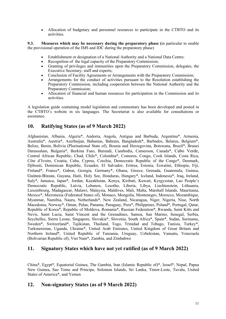• Allocation of budgetary and personnel resources to participate in the CTBTO and its activities.

**9.3. Measures which may be necessary during the preparatory phase (**in particular to enable the provisional operation of the IMS and IDC during the preparatory phase)

- Establishment or designation of a National Authority and a National Data Centre;
- Recognition of the legal capacity of the Preparatory Commission:
- Granting of privileges and immunities upon the Preparatory Commission, delegates, the Executive Secretary, staff and experts;
- Conclusion of Facility Agreements or Arrangements with the Preparatory Commission;
- Arrangements for the conduct of activities pursuant to the Resolution establishing the Preparatory Commission, including cooperation between the National Authority and the Preparatory Commission;
- Allocation of financial and human resources for participation in the Commission and its activities.

A legislation guide containing model legislation and commentary has been developed and posted in the CTBTO's website in six languages. The Secretariat is also available for consultations or assistance.

## **10. Ratifying States (as of 9 March 2022)**

Afghanistan, Albania, Algeria\*, Andorra, Angola, Antigua and Barbuda, Argentina\*, Armenia, Australia\*, Austria\*, Azerbaijan, Bahamas, Bahrain, Bangladesh\*, Barbados, Belarus, Belgium\*, Belize, Benin, Bolivia (Plurinational State of), Bosnia and Herzegovina, Botswana, Brazil\*, Brunei Darussalam, Bulgaria\*, Burkina Faso, Burundi, Cambodia, Cameroon, Canada\*, Cabo Verde, Central African Republic, Chad, Chile\*, Colombia\*, Comoros, Congo, Cook Islands, Costa Rica, Côte d'Ivoire, Croatia, Cuba, Cyprus, Czechia, Democratic Republic of the Congo\*, Denmark, Djibouti, Dominican Republic, Ecuador, El Salvador, Eritrea, Estonia, Eswatini, Ethiopia, Fiji, Finland\*, France\*, Gabon, Georgia, Germany\*, Ghana, Greece, Grenada, Guatemala, Guinea, Guinea-Bissau, Guyana, Haiti, Holy See, Honduras, Hungary\*, Iceland, Indonesia\*, Iraq, Ireland, Italy\*, Jamaica, Japan\*, Jordan, Kazakhstan, Kenya, Kiribati, Kuwait, Kyrgyzstan, Lao People's Democratic Republic, Latvia, Lebanon, Lesotho, Liberia, Libya, Liechtenstein, Lithuania, Luxembourg, Madagascar, Malawi, Malaysia, Maldives, Mali, Malta, Marshall Islands, Mauritania, Mexico\*, Micronesia (Federated States of), Monaco, Mongolia, Montenegro, Morocco, Mozambique, Myanmar, Namibia, Nauru, Netherlands\*, New Zealand, Nicaragua, Niger, Nigeria, Niue, North Macedonia, Norway\*, Oman, Palau, Panama, Paraguay, Peru\*, Philippines, Poland\*, Portugal, Qatar, Republic of Korea\*, Republic of Moldova, Romania\*, Russian Federation\*, Rwanda, Saint Kitts and Nevis, Saint Lucia, Saint Vincent and the Grenadines, Samoa, San Marino, Senegal, Serbia, Seychelles, Sierra Leone, Singapore, Slovakia\*, Slovenia, South Africa\*, Spain\*, Sudan, Suriname, Sweden\*, Switzerland\*, Tajikistan, Thailand, Togo, Trinidad and Tobago, Tunisia, Turkey\*, Turkmenistan, Uganda, Ukraine\*, United Arab Emirates, United Kingdom of Great Britain and Northern Ireland\*, United Republic of Tanzania, Uruguay, Uzbekistan, Vanuatu, Venezuela (Bolivarian Republic of), Viet Nam\*, Zambia, and Zimbabwe

## **11. Signatory States which have not yet ratified (as of 9 March 2022)**

China\*, Egypt\*, Equatorial Guinea, The Gambia, Iran (Islamic Republic of)\*, Israel\*, Nepal, Papua New Guinea, Sao Tome and Principe, Solomon Islands, Sri Lanka, Timor-Leste, Tuvalu, United States of America\*, and Yemen

## **12. Non-signatory States (as of 9 March 2022)**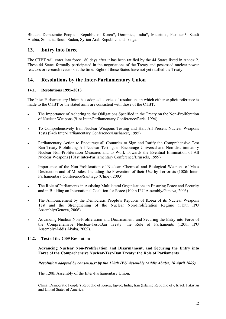Bhutan, Democratic People's Republic of Korea\*, Dominica, India\*, Mauritius, Pakistan\*, Saudi Arabia, Somalia, South Sudan, Syrian Arab Republic, and Tonga.

## **13. Entry into force**

The CTBT will enter into force 180 days after it has been ratified by the 44 States listed in Annex 2. These 44 States formally participated in the negotiations of the Treaty and possessed nuclear power reactors or research reactors at the time. Eight of those States have not yet ratified the Treaty.<sup>1</sup>

## **14. Resolutions by the Inter-Parliamentary Union**

#### **14.1. Resolutions 1995–2013**

The Inter-Parliamentary Union has adopted a series of resolutions in which either explicit reference is made to the CTBT or the stated aims are consistent with those of the CTBT:

- The Importance of Adhering to the Obligations Specified in the Treaty on the Non-Proliferation of Nuclear Weapons (91st Inter-Parliamentary Conference/Paris, 1994)
- To Comprehensively Ban Nuclear Weapons Testing and Halt All Present Nuclear Weapons Tests (94th Inter-Parliamentary Conference/Bucharest, 1995)
- Parliamentary Action to Encourage all Countries to Sign and Ratify the Comprehensive Test Ban Treaty Prohibiting All Nuclear Testing, to Encourage Universal and Non-discriminatory Nuclear Non-Proliferation Measures and to Work Towards the Eventual Elimination of All Nuclear Weapons (101st Inter-Parliamentary Conference/Brussels, 1999)
- Importance of the Non-Proliferation of Nuclear, Chemical and Biological Weapons of Mass Destruction and of Missiles, Including the Prevention of their Use by Terrorists (108th Inter-Parliamentary Conference/Santiago (Chile), 2003)
- The Role of Parliaments in Assisting Multilateral Organisations in Ensuring Peace and Security and in Building an International Coalition for Peace (109th IPU Assembly/Geneva, 2003)
- The Announcement by the Democratic People's Republic of Korea of its Nuclear Weapons Test and the Strengthening of the Nuclear Non-Proliferation Regime (115th IPU Assembly/Geneva, 2006)
- Advancing Nuclear Non-Proliferation and Disarmament, and Securing the Entry into Force of the Comprehensive Nuclear-Test-Ban Treaty: the Role of Parliaments (120th IPU Assembly/Addis Ababa, 2009).

#### **14.2. Text of the 2009 Resolution**

**Advancing Nuclear Non-Proliferation and Disarmament, and Securing the Entry into Force of the Comprehensive Nuclear-Test-Ban Treaty: the Role of Parliaments**

#### *Resolution adopted by consensus\* by the 120th IPU Assembly (Addis Ababa, 10 April 2009)*

The 120th Assembly of the Inter-Parliamentary Union,

<sup>1</sup> China, Democratic People's Republic of Korea, Egypt, India, Iran (Islamic Republic of), Israel, Pakistan and United States of America.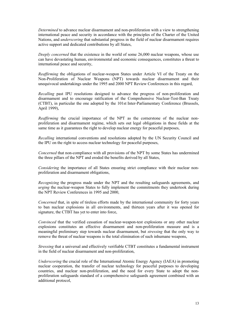*Determined* to advance nuclear disarmament and non-proliferation with a view to strengthening international peace and security in accordance with the principles of the Charter of the United Nations, and *underscoring* that substantial progress in the field of nuclear disarmament requires active support and dedicated contributions by all States,

*Deeply concerned* that the existence in the world of some 26,000 nuclear weapons, whose use can have devastating human, environmental and economic consequences, constitutes a threat to international peace and security,

*Reaffirming* the obligations of nuclear-weapon States under Article VI of the Treaty on the Non-Proliferation of Nuclear Weapons (NPT) towards nuclear disarmament and their unequivocal undertakings under the 1995 and 2000 NPT Review Conferences in this regard,

*Recalling* past IPU resolutions designed to advance the progress of non-proliferation and disarmament and to encourage ratification of the Comprehensive Nuclear-Test-Ban Treaty (CTBT), in particular the one adopted by the 101st Inter-Parliamentary Conference (Brussels, April 1999),

*Reaffirming* the crucial importance of the NPT as the cornerstone of the nuclear nonproliferation and disarmament regime, which sets out legal obligations in these fields at the same time as it guarantees the right to develop nuclear energy for peaceful purposes,

*Recalling* international conventions and resolutions adopted by the UN Security Council and the IPU on the right to access nuclear technology for peaceful purposes,

*Concerned* that non-compliance with all provisions of the NPT by some States has undermined the three pillars of the NPT and eroded the benefits derived by all States,

*Considering* the importance of all States ensuring strict compliance with their nuclear nonproliferation and disarmament obligations,

*Recognizing* the progress made under the NPT and the resulting safeguards agreements, and *urging* the nuclear-weapon States to fully implement the commitments they undertook during the NPT Review Conferences in 1995 and 2000,

*Concerned* that, in spite of tireless efforts made by the international community for forty years to ban nuclear explosions in all environments, and thirteen years after it was opened for signature, the CTBT has yet to enter into force,

*Convinced* that the verified cessation of nuclear-weapon-test explosions or any other nuclear explosions constitutes an effective disarmament and non-proliferation measure and is a meaningful preliminary step towards nuclear disarmament, but *stressing* that the only way to remove the threat of nuclear weapons is the total elimination of such inhumane weapons,

*Stressing* that a universal and effectively verifiable CTBT constitutes a fundamental instrument in the field of nuclear disarmament and non-proliferation,

*Underscoring* the crucial role of the International Atomic Energy Agency (IAEA) in promoting nuclear cooperation, the transfer of nuclear technology for peaceful purposes to developing countries, and nuclear non-proliferation, and the need for every State to adopt the nonproliferation safeguards standard of a comprehensive safeguards agreement combined with an additional protocol,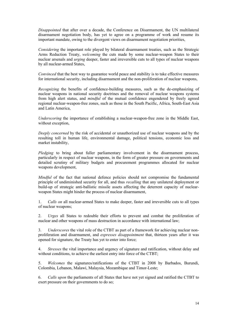*Disappointed* that after over a decade, the Conference on Disarmament, the UN multilateral disarmament negotiation body, has yet to agree on a programme of work and resume its important mandate, owing to the divergent views on disarmament negotiation priorities,

*Considering* the important role played by bilateral disarmament treaties, such as the Strategic Arms Reduction Treaty, *welcoming* the cuts made by some nuclear-weapon States to their nuclear arsenals and *urging* deeper, faster and irreversible cuts to all types of nuclear weapons by all nuclear-armed States,

*Convinced* that the best way to guarantee world peace and stability is to take effective measures for international security, including disarmament and the non-proliferation of nuclear weapons,

*Recognizing* the benefits of confidence-building measures, such as the de-emphasizing of nuclear weapons in national security doctrines and the removal of nuclear weapons systems from high alert status, and *mindful* of the mutual confidence engendered by freely agreed regional nuclear-weapon-free zones, such as those in the South Pacific, Africa, South-East Asia and Latin America,

*Underscoring* the importance of establishing a nuclear-weapon-free zone in the Middle East, without exception,

*Deeply concerned* by the risk of accidental or unauthorized use of nuclear weapons and by the resulting toll in human life, environmental damage, political tensions, economic loss and market instability,

*Pledging* to bring about fuller parliamentary involvement in the disarmament process, particularly in respect of nuclear weapons, in the form of greater pressure on governments and detailed scrutiny of military budgets and procurement programmes allocated for nuclear weapons development,

*Mindful* of the fact that national defence policies should not compromise the fundamental principle of undiminished security for all, and thus *recalling* that any unilateral deployment or build-up of strategic anti-ballistic missile assets affecting the deterrent capacity of nuclearweapon States might hinder the process of nuclear disarmament,

1. *Calls on* all nuclear-armed States to make deeper, faster and irreversible cuts to all types of nuclear weapons;

2. *Urges* all States to redouble their efforts to prevent and combat the proliferation of nuclear and other weapons of mass destruction in accordance with international law;

3. *Underscores* the vital role of the CTBT as part of a framework for achieving nuclear nonproliferation and disarmament, and *expresses disappointment* that, thirteen years after it was opened for signature, the Treaty has yet to enter into force;

4. *Stresses* the vital importance and urgency of signature and ratification, without delay and without conditions, to achieve the earliest entry into force of the CTBT;

5. *Welcomes* the signatures/ratifications of the CTBT in 2008 by Barbados, Burundi, Colombia, Lebanon, Malawi, Malaysia, Mozambique and Timor-Leste;

6. *Calls upon* the parliaments of all States that have not yet signed and ratified the CTBT to exert pressure on their governments to do so;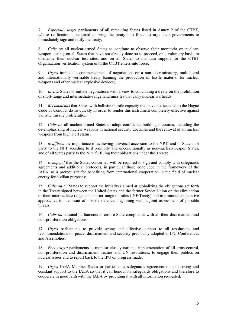7. *Especially urges* parliaments of all remaining States listed in Annex 2 of the CTBT, whose ratification is required to bring the treaty into force, to urge their governments to immediately sign and ratify the treaty;

8. *Calls on* all nuclear-armed States to continue to observe their moratoria on nuclearweapon testing, on all States that have not already done so to proceed, on a voluntary basis, to dismantle their nuclear test sites, and on all States to maintain support for the CTBT Organization verification system until the CTBT enters into force;

9. *Urges* immediate commencement of negotiations on a non-discriminatory, multilateral and internationally verifiable treaty banning the production of fissile material for nuclear weapons and other nuclear explosive devices;

10. *Invites* States to initiate negotiations with a view to concluding a treaty on the prohibition of short-range and intermediate-range land missiles that carry nuclear warheads;

11. *Recommends* that States with ballistic missile capacity that have not acceded to the Hague Code of Conduct do so quickly in order to render this instrument completely effective against ballistic missile proliferation;

12. *Calls on* all nuclear-armed States to adopt confidence-building measures, including the de-emphasizing of nuclear weapons in national security doctrines and the removal of all nuclear weapons from high alert status;

13. *Reaffirms* the importance of achieving universal accession to the NPT, and of States not party to the NPT acceding to it promptly and unconditionally as non-nuclear-weapon States, and of all States party to the NPT fulfilling their obligations under the Treaty;

14. *Is hopeful* that the States concerned will be required to sign and comply with safeguards agreements and additional protocols, in particular those concluded in the framework of the IAEA, as a prerequisite for benefiting from international cooperation in the field of nuclear energy for civilian purposes;

15. *Calls on* all States to support the initiatives aimed at globalizing the obligations set forth in the Treaty signed between the United States and the former Soviet Union on the elimination of their intermediate-range and shorter-range missiles (INF Treaty) and to promote cooperative approaches to the issue of missile defence, beginning with a joint assessment of possible threats;

16. *Calls on* national parliaments to ensure State compliance with all their disarmament and non-proliferation obligations;

17. *Urges* parliaments to provide strong and effective support to all resolutions and recommendations on peace, disarmament and security previously adopted at IPU Conferences and Assemblies;

18. *Encourages* parliaments to monitor closely national implementation of all arms control, non-proliferation and disarmament treaties and UN resolutions, to engage their publics on nuclear issues and to report back to the IPU on progress made;

19. *Urges* IAEA Member States or parties to a safeguards agreement to lend strong and constant support to the IAEA so that it can honour its safeguards obligations and therefore to cooperate in good faith with the IAEA by providing it with all information requested;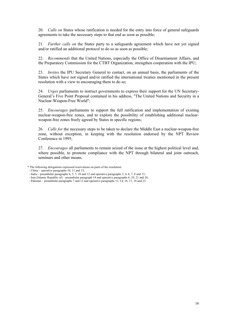20. *Calls on* States whose ratification is needed for the entry into force of general safeguards agreements to take the necessary steps to that end as soon as possible;

21. *Further calls on* the States party to a safeguards agreement which have not yet signed and/or ratified an additional protocol to do so as soon as possible;

22. *Recommends* that the United Nations, especially the Office of Disarmament Affairs, and the Preparatory Commission for the CTBT Organization, strengthen cooperation with the IPU;

23. *Invites* the IPU Secretary General to contact, on an annual basis, the parliaments of the States which have not signed and/or ratified the international treaties mentioned in the present resolution with a view to encouraging them to do so;

24. *Urges* parliaments to instruct governments to express their support for the UN Secretary-General's Five Point Proposal contained in his address, "The United Nations and Security in a Nuclear-Weapon-Free World";

25. *Encourages* parliaments to support the full ratification and implementation of existing nuclear-weapon-free zones, and to explore the possibility of establishing additional nuclearweapon-free zones freely agreed by States in specific regions;

26. *Calls for* the necessary steps to be taken to declare the Middle East a nuclear-weapon-free zone, without exception, in keeping with the resolution endorsed by the NPT Review Conference in 1995;

27. *Encourages* all parliaments to remain seized of the issue at the highest political level and, where possible, to promote compliance with the NPT through bilateral and joint outreach, seminars and other means.

<sup>\*</sup> The following delegations expressed reservations on parts of the resolution:

 <sup>-</sup> China – operative paragraphs 10, 11 and 15;

 <sup>-</sup> India – preambular paragraphs 4, 5, 7, 10 and 12 and operative paragraphs 3, 4, 6, 7, 8 and 13;

 <sup>-</sup> Iran (Islamic Republic of) – preambular paragraph 18 and operative paragraphs 6, 10, 21 and 26;

 <sup>-</sup> Pakistan – preambular paragraphs 7 and 13 and operative paragraphs 13, 14, 16, 17, 18 and 23.